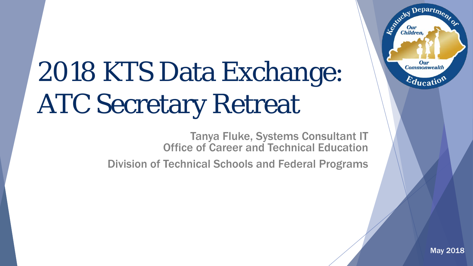# 2018 KTS Data Exchange: ATC Secretary Retreat

Tanya Fluke, Systems Consultant IT Office of Career and Technical Education

Division of Technical Schools and Federal Programs

Departme,

Our **Commonwealth** 

 $E_{\text{ducatio}}$ 

Agencies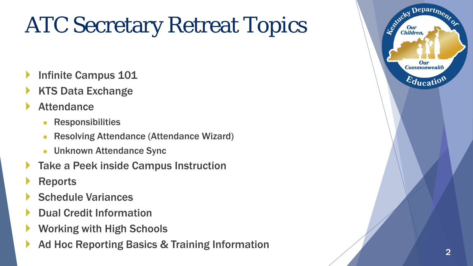# ATC Secretary Retreat Topics

- Infinite Campus 101
- KTS Data Exchange
- **Attendance** 
	- **Responsibilities**
	- **Resolving Attendance (Attendance Wizard)**
	- Unknown Attendance Sync
- Take a Peek inside Campus Instruction
- **Reports**
- Schedule Variances
- Dual Credit Information
- Working with High Schools
- Ad Hoc Reporting Basics & Training Information 2

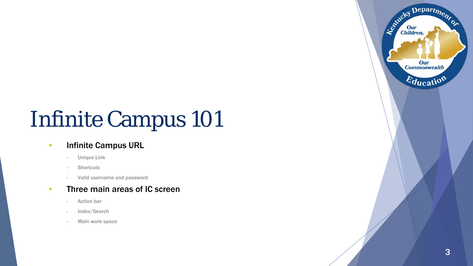# Infinite Campus 101

#### • Infinite Campus URL

- Unique Link
- Shortcuts
- Valid username and password

#### • Three main areas of IC screen

- Action bar
- Index/Search
- Main work space

Kacky Department

Our **Commonwealth** 

Education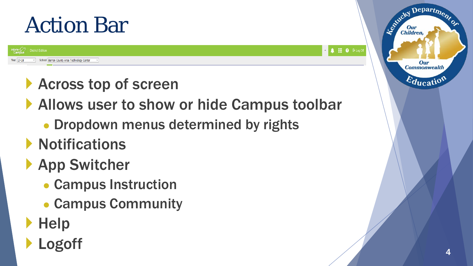## Action Bar

School Barren County Area Technology Center

**trict Edition** 



- **Across top of screen**
- Allows user to show or hide Campus toolbar
	- Dropdown menus determined by rights
- **Notifications**
- **App Switcher** 
	- Campus Instruction
	- Campus Community
- **Help**
- Logoff

Department

Our **Commonwealth** 

 $E_{\text{ducatio}}$ 

Le Child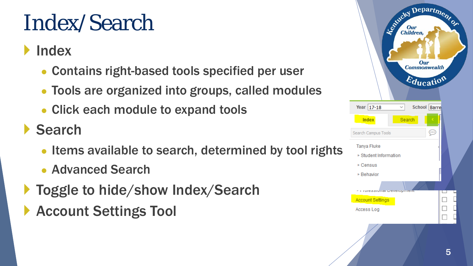# Index/Search

#### Index

- Contains right-based tools specified per user
- Tools are organized into groups, called modules
- Click each module to expand tools

#### Search

- Items available to search, determined by tool rights
- Advanced Search
- ▶ Toggle to hide/show Index/Search
- **Account Settings Tool**

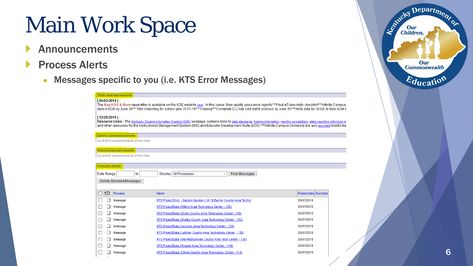# Main Work Space

- Announcements
- Process Alerts
	- Messages specific to you (i.e. KTS Error Messages)

#### **State Announcements** [05/02/2018]

The May KSIS & More newsletter is available on the KDE website here. In this issue: New quality assurance reports\*\*\*Final eTranscripts checklist\*\*\*Infinite Campus data in EDS by June 30\*\*\*Title I reporting for school year 2017-18\*\*\*Training\*\*\*Complete G-Code End Batch process by June 15\*\*\*Verify data for SEEK At Risk ADM b

#### [12/28/2016]

Resource Links - The Kentucky Student Information System (KSIS) webpage contains links to data standards, training information, monthly newsletters, state reporting reference m and other resources for the Instructional Management System (IMS) and Educator Development Suite (EDS).\*\*\*Infinite Campus University live and recorded WebEx train

**District Announcements** No district announcements at this time.

#### **School Announcements**

No school announcements at this time.

| <b>Process Alerts</b>                        |                                                                            |                      |  |  |
|----------------------------------------------|----------------------------------------------------------------------------|----------------------|--|--|
| to<br>Date Range<br>Delete Selected Messages | Display   All Processes<br><b>Find Messages</b><br>$\checkmark$            |                      |  |  |
| !D<br><b>Process</b>                         | Name                                                                       | Posted Date Due Date |  |  |
| Message                                      | KTS Project Error - Section Number (18-19 Barren County Area Techn)        | 05/07/2018           |  |  |
| Message                                      | KTS ProjectStats (Millard Area Technology Center - 138)                    | 05/07/2018           |  |  |
| Message                                      | 05/07/2018<br>KTS ProjectStats (Green County Area Technology Center - 119) |                      |  |  |
| Message                                      | KTS ProjectStats (Shelby County Area Technology Center - 152)              | 05/07/2018           |  |  |
| Message                                      | KTS ProjectStats (Jackson Area Technology Center - 124)                    | 05/07/2018           |  |  |
| Message                                      | KTS ProjectStats (Letcher County Area Technology Center - 130)             | 05/07/2018           |  |  |
| Message                                      | KTS ProjectStats (Mayfield/Graves County Area Tech Center - 136)           | 05/07/2018           |  |  |
| Message                                      | KTS ProjectStats (Russell Area Technology Center - 149)                    | 05/07/2018           |  |  |
| Message                                      | KTS ProjectStats (Clinton County Area Technology Center - 114)             | 05/07/2018           |  |  |
|                                              |                                                                            |                      |  |  |

| Centre Children,           |   |  |
|----------------------------|---|--|
| Our<br><b>Commonwealth</b> |   |  |
| Education                  |   |  |
|                            |   |  |
|                            |   |  |
|                            |   |  |
|                            |   |  |
|                            | 6 |  |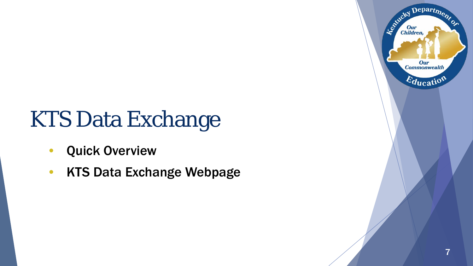# KTS Data Exchange

- Quick Overview
- KTS Data Exchange Webpage

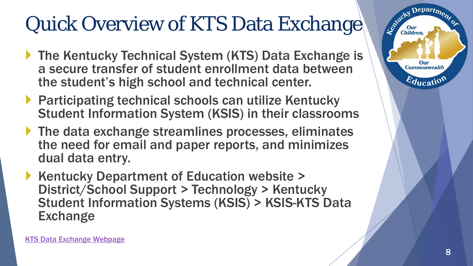## Quick Overview of KTS Data Exchange

- ▶ The Kentucky Technical System (KTS) Data Exchange is a secure transfer of student enrollment data between the student's high school and technical center.
- ▶ Participating technical schools can utilize Kentucky Student Information System (KSIS) in their classrooms
- ▶ The data exchange streamlines processes, eliminates the need for email and paper reports, and minimizes dual data entry.
- Kentucky Department of Education website > District/School Support > Technology > Kentucky Student Information Systems (KSIS) > KSIS-KTS Data **Exchange**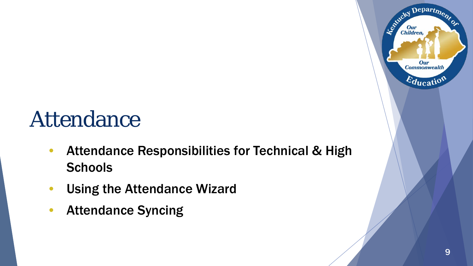# Attendance

- Attendance Responsibilities for Technical & High **Schools**
- Using the Attendance Wizard
- Attendance Syncing

Departme.

**Our Commonwealth** 

 $E_{\text{ducati}}$ 

Agentucky I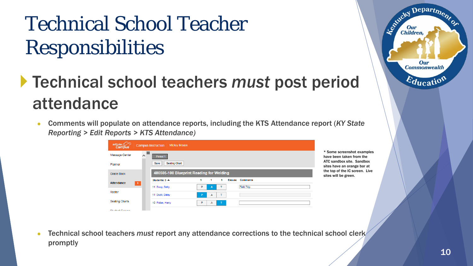## Technical School Teacher Responsibilities

#### Technical school teachers *must* post period attendance

● Comments will populate on attendance reports, including the KTS Attendance report (*KY State Reporting > Edit Reports > KTS Attendance)*

| Infinite $\sim$<br><b>Campus</b> | <b>Mickey Mouse</b><br><b>Campus Instruction</b>    |                                                          |
|----------------------------------|-----------------------------------------------------|----------------------------------------------------------|
| Message Center                   | $\equiv$<br>Period 1                                | * Some screenshot examples<br>have been taken from the   |
| Planner                          | Seating Chart<br>Save                               | ATC sandbox site. Sandbox<br>sites have an orange bar at |
| Grade Book                       | 480505-100 Blueprint Reading for Welding            | the top of the IC screen. Live<br>sites will be green.   |
| <b>Attendance</b><br>$-1$        | <b>Comments</b><br>Students: $3 -$<br><b>Excuse</b> |                                                          |
|                                  | <b>Field Trip</b><br>11 Boop, Betty<br>т<br>P<br>A  |                                                          |
| Roster                           | 11 Duck, Daisy<br>т<br><b>P</b><br>А                |                                                          |
| <b>Seating Charts</b>            | 10 Potter, Harry<br>P<br>T.<br>А                    |                                                          |
| <b>Chickent Crossed</b>          |                                                     |                                                          |

Technical school teachers *must* report any attendance corrections to the technical school clerk promptly

Departme.

Our **Commonwealth** 

 $E_{\text{ducatio}}$ 

Agencies I

**Children**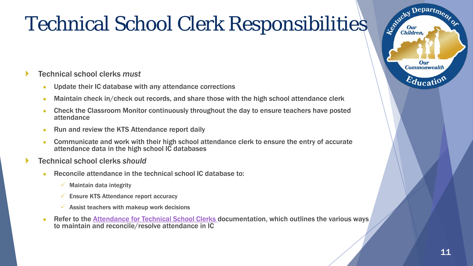## Technical School Clerk Responsibilities

#### Technical school clerks *must*

- Update their IC database with any attendance corrections
- Maintain check in/check out records, and share those with the high school attendance clerk
- Check the Classroom Monitor continuously throughout the day to ensure teachers have posted attendance
- Run and review the KTS Attendance report daily
- Communicate and work with their high school attendance clerk to ensure the entry of accurate attendance data in the high school IC databases
- Technical school clerks *should*
	- Reconcile attendance in the technical school IC database to:
		- $\checkmark$  Maintain data integrity
		- $\checkmark$  Ensure KTS Attendance report accuracy
		- $\checkmark$  Assist teachers with makeup work decisions
	- Refer to the [Attendance for Technical School Clerks d](https://education.ky.gov/districts/tech/sis/Documents/AttendanceforATCClerks.pdf)ocumentation, which outlines the various ways to maintain and reconcile/resolve attendance in IC

Depart<sub>m</sub>

Our **Commonwealth** 

 $\varepsilon_{\text{ducatio}}$ 

Controley I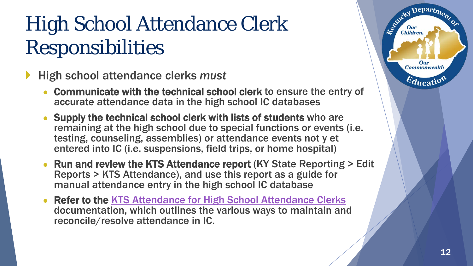## High School Attendance Clerk Responsibilities

- High school attendance clerks *must*
	- Communicate with the technical school clerk to ensure the entry of accurate attendance data in the high school IC databases
	- Supply the technical school clerk with lists of students who are remaining at the high school due to special functions or events (i.e. testing, counseling, assemblies) or attendance events not y et entered into IC (i.e. suspensions, field trips, or home hospital)
	- Run and review the KTS Attendance report (KY State Reporting > Edit Reports > KTS Attendance), and use this report as a guide for manual attendance entry in the high school IC database
	- Refer to the KTS Attendance for High School Attendance Clerks documentation, which outlines the various ways to maintain and reconcile/resolve attendance in IC.

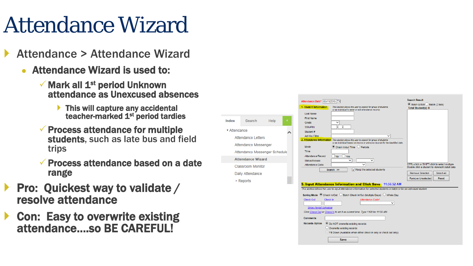# Attendance Wizard

- Attendance > Attendance Wizard
	- Attendance Wizard is used to:
		- $\checkmark$  Mark all 1<sup>st</sup> period Unknown attendance as Unexcused absences
			- This will capture any accidental teacher-marked 1<sup>st</sup> period tardies

Index

▼ Attendance Attenda Attendar Attendar **Attenda** 

- $\checkmark$  Process attendance for multiple students, such as late bus and field trips
- Process attendance based on a date range
- Pro: Quickest way to validate / resolve attendance
- ▶ Con: Easy to overwrite existing attendance….so BE CAREFUL!

|                                                                                                                                                                                             | Attendance Date* 05/11/2015<br>1. Student Information<br>This section allows the user to search for group of students<br>or an individual to enter or edit attendance records.<br><b>Last Name</b>                                                                                                                                                                                                                                                                                                                                            | <b>Search Result</b><br>● Batch & Edit Batch (2 lists)<br><b>Total Student(s): 0</b>                                                    |
|---------------------------------------------------------------------------------------------------------------------------------------------------------------------------------------------|-----------------------------------------------------------------------------------------------------------------------------------------------------------------------------------------------------------------------------------------------------------------------------------------------------------------------------------------------------------------------------------------------------------------------------------------------------------------------------------------------------------------------------------------------|-----------------------------------------------------------------------------------------------------------------------------------------|
| Search<br>Help<br>endance<br><b>Attendance Letters</b><br>Attendance Messenger<br>Attendance Messenger Schedule<br><b>Attendance Wizard</b><br><b>Classroom Monitor</b><br>Daily Attendance | <b>First Name</b><br>Grade<br>v<br><b>SSN/PIN</b><br>Student#<br>Ad Hoc Filter<br>$\checkmark$<br>2. Attendance Information This section allows the user to search for group of students<br>or an individual based on known or unknown records for the identified date.<br>Mode<br>$\bullet$ Check in/out Time $\circ$ Periods<br><b>Time</b><br>Attendance Record<br>N <sub>o</sub><br>$\sqrt{\frac{1}{1}}$<br>v<br>$\checkmark$<br>Status/Excuse<br>Attendance Code<br>$\checkmark$<br>$\sqrt{}$ Keep the selected students<br>Search $\gg$ | CTRL-click or SHIFT-click to select multiple<br>Double click a student to view/edit detail data<br><b>Remove Selected</b><br>Select All |
| $\triangleright$ Reports                                                                                                                                                                    | 3. Input Attendance Information and Click Save 11:56:52 AM<br>This section allows the user to input attendance information for selected students in batch or for an individual student.                                                                                                                                                                                                                                                                                                                                                       | <b>Remove Unselected</b><br>Reset                                                                                                       |
|                                                                                                                                                                                             | Check Out<br>Check In<br>Attendance Code*<br>$\checkmark$<br><b>Show Period Schedule</b><br>Click Check Out or Check In to set it as current time. Type 1100 for 11:00 AM.<br><b>Comments</b><br><b>Records Option</b><br>● Do NOT overwrite existing records<br>$\bigcirc$ Overwrite existing records<br>Fill Down (Available when either check in only or check out only)<br><b>Save</b>                                                                                                                                                    |                                                                                                                                         |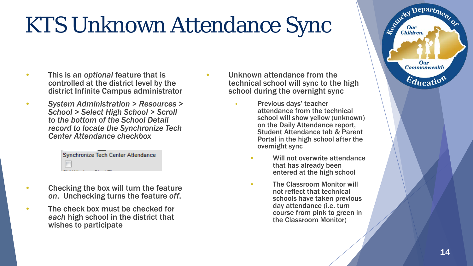# KTS Unknown Attendance Sync

- This is an *optional* feature that is controlled at the district level by the district Infinite Campus administrator
- *System Administration > Resources > School > Select High School > Scroll to the bottom of the School Detail record to locate the Synchronize Tech Center Attendance checkbox*

| Synchronize Tech Center Attendance |  |
|------------------------------------|--|
| $\overline{\phantom{a}}$           |  |

- Checking the box will turn the feature *on*. Unchecking turns the feature *off*.
- The check box must be checked for *each* high school in the district that wishes to participate
- Unknown attendance from the technical school will sync to the high school during the overnight sync
	- Previous days' teacher attendance from the technical school will show yellow (unknown) on the Daily Attendance report, Student Attendance tab & Parent Portal in the high school after the overnight sync
		- Will not overwrite attendance that has already been entered at the high school
		- The Classroom Monitor will not reflect that technical schools have taken previous day attendance (i.e. turn course from pink to green in the Classroom Monitor)

Depart<sub>m</sub>

Our **Commonwealth** 

 $E_{\text{ducati}}$ 

Le Child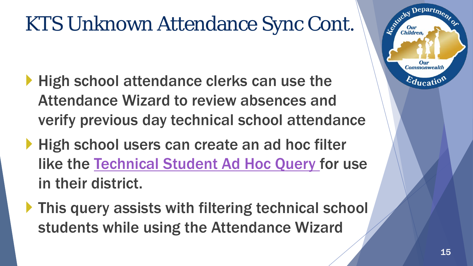### KTS Unknown Attendance Sync Cont.

- **High school attendance clerks can use the** Attendance Wizard to review absences and verify previous day technical school attendance
- High school users can create an ad hoc filter like the [Technical Student Ad Hoc Query](https://education.ky.gov/districts/tech/sis/Documents/Technical_Student_Ad-Hoc_Query.pdf) for use in their district.
- **This query assists with filtering technical school** students while using the Attendance Wizard

epartm

**Commonwealth** 

 $E_{\text{ducati}}$ 

**Children**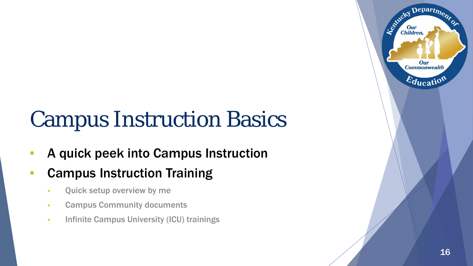# Campus Instruction Basics

- A quick peek into Campus Instruction
- Campus Instruction Training
	- Quick setup overview by me
	- Campus Community documents
	- Infinite Campus University (ICU) trainings

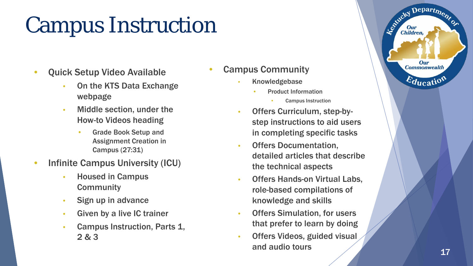# Campus Instruction

- Quick Setup Video Available
	- On the KTS Data Exchange webpage
	- Middle section, under the How-to Videos heading
		- Grade Book Setup and Assignment Creation in Campus (27:31)
- Infinite Campus University (ICU)
	- Housed in Campus **Community**
	- Sign up in advance
	- Given by a live IC trainer
	- Campus Instruction, Parts 1, 2 & 3
- Campus Community
	- **Knowledgebase** 
		- Product Information
			- Campus Instruction
	- Offers Curriculum, step-bystep instructions to aid users in completing specific tasks
	- Offers Documentation, detailed articles that describe the technical aspects
	- Offers Hands-on Virtual Labs, role-based compilations of knowledge and skills
	- Offers Simulation, for users that prefer to learn by doing
	- Offers Videos, guided visual and audio tours

Department

Our **Commonwealth** 

 $\varepsilon_{\text{ducatio}}$ 

Le ortucky I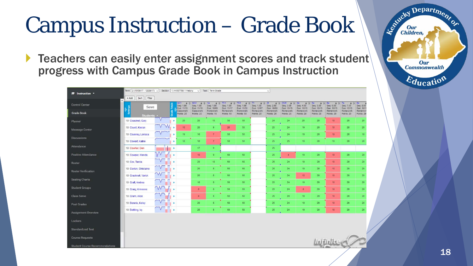# Campus Instruction – Grade Book

▶ Teachers can easily enter assignment scores and track student progress with Campus Grade Book in Campus Instruction

|                            | Term 2 (10/09/17 - 12/29/17) ~ |                               |          | Section 1) 44557788-1 History |                                                                                               | $\sim$ Task Term Grade  |                                                                                                                           |                         |                                                           | $\checkmark$            |                                                                                      |                                                           |                                               |                                                               |                                                      |                         |
|----------------------------|--------------------------------|-------------------------------|----------|-------------------------------|-----------------------------------------------------------------------------------------------|-------------------------|---------------------------------------------------------------------------------------------------------------------------|-------------------------|-----------------------------------------------------------|-------------------------|--------------------------------------------------------------------------------------|-----------------------------------------------------------|-----------------------------------------------|---------------------------------------------------------------|------------------------------------------------------|-------------------------|
| <b>E</b> Instruction *     | Filter<br>$+ Add$<br>Sort      |                               |          |                               |                                                                                               |                         |                                                                                                                           |                         |                                                           |                         |                                                                                      |                                                           |                                               |                                                               |                                                      |                         |
| ۸<br><b>Control Center</b> | Save                           |                               |          | Seq: 1.00<br>Due: 11/15       | QC1 $\Rightarrow$ $\frac{1}{2}$ QC2 $\Rightarrow$ $\frac{1}{2}$ 1a<br>Seq: 1.00<br>Due: 11/16 | Seq: 1.00<br>Due: 10/09 | $\Rightarrow$ $\frac{1}{2}$ TC1 $\Rightarrow$ $\frac{1}{2}$ TC2 $\Rightarrow$ $\frac{1}{2}$ T1<br>Seq: 1.00<br>Due: 11/17 | Seq: 1.00<br>Due: 11/20 | $\Rightarrow$ $\frac{1}{2}$ 21<br>Seq: 1.00<br>Due: 12/07 | Seq: 2.00<br>Due: 10/09 | $\Rightarrow$ $\Diamond$ Ch2t $\Rightarrow$ $\Diamond$ 4a<br>Seq: 3.00<br>Due: 10/15 | $\Rightarrow$ $\frac{1}{2}$ 5a<br>Seq: 4.00<br>Due: 10/15 | $\div$ $\sqrt{6a}$<br>Seq: 5.00<br>Due: 10/15 | $\Leftrightarrow$ $\frac{1}{2}$ 7a<br>Seq: 6.00<br>Due: 10/15 | $\Rightarrow$ $\delta$ 8a<br>Seq: 7.00<br>Due: 10/15 | Seq: 8.00<br>Due: 10/15 |
| <b>Grade Book</b>          | Students -                     |                               |          | Classwork<br>Points: 20       | Classwork<br>Points: 20                                                                       | Homework<br>Points: 10  | Homework<br>Points: 50                                                                                                    | Homework<br>Points: 50  | Homework<br>Points: 20                                    | Homework<br>Points: 20  | Homework<br>Points: 25                                                               | Homework<br>Points: 20                                    | Homework<br>Points: 20                        | Homework<br>Points: 20                                        | Homework<br>Points: 20                               | Homework<br>Points: 20  |
| Planner                    | 10 Cousinet, Gary              | V                             | ٠        | 20                            | 20                                                                                            | 10                      | 50                                                                                                                        | 50                      |                                                           | 24 <sub>1</sub>         | 24                                                                                   | 20                                                        | 20                                            | 10 <sub>1</sub>                                               | 20                                                   | 20                      |
| Message Center             | 10 Covell, Kieran              | $\overline{\mathsf{v}}$<br>W. |          | 10                            | 20                                                                                            | $\bullet$               | 20                                                                                                                        | 50                      |                                                           | 25                      | 24                                                                                   | 19                                                        | 20                                            | 10 <sub>10</sub>                                              | 20                                                   | 20                      |
| <b>Discussions</b>         | 10 Coveney, Lorissa            | V                             | ×        | 19                            | 18                                                                                            | 7                       | 50                                                                                                                        | 50 <sub>2</sub>         |                                                           | 25                      | 24                                                                                   | 19                                                        | 20                                            | 10 <sub>10</sub>                                              | 20                                                   | 18                      |
|                            | 10 Cowart, Katrie              |                               | ь        | 18                            | 18                                                                                            | 7 <sup>°</sup>          | 50                                                                                                                        | 50                      |                                                           | 25                      | 25                                                                                   | 19                                                        | 20 <sub>2</sub>                               | 19 <sub>1</sub>                                               | 20 <sub>2</sub>                                      | 20                      |
| Attendance                 | 10 Cowher, Den                 |                               | <b>P</b> |                               | 17 <sub>z</sub>                                                                               | 9                       |                                                                                                                           |                         |                                                           | 25                      |                                                                                      |                                                           |                                               |                                                               |                                                      |                         |
| Positive Attendance        | 10 Cowper, Wenda               | W                             |          |                               | 10 <sup>°</sup>                                                                               | 9                       | 50                                                                                                                        | 50                      |                                                           | 25                      | $\frac{4}{3}$                                                                        | 19                                                        | 20                                            | 10                                                            | 20                                                   | 20                      |
| Roster                     | 10 Cox, Tarcia                 |                               |          |                               | 20 <sub>1</sub>                                                                               | 10 <sup>°</sup>         | 50                                                                                                                        | 50 <sub>2</sub>         |                                                           | 25                      | 24                                                                                   | 19                                                        | 20                                            | 10 <sub>10</sub>                                              | 20 <sub>2</sub>                                      | 20                      |
| <b>Roster Verification</b> | 10 Coxton, Ghislaine           |                               |          |                               | 20                                                                                            | 8 <sup>1</sup>          | 50                                                                                                                        | 50                      |                                                           | 25 <sub>2</sub>         | 24                                                                                   | 19                                                        | 20                                            | 10                                                            | 20                                                   | 20                      |
| <b>Seating Charts</b>      | 10 Cracknell, Varick           | $\mathcal{N}$                 |          |                               | 20                                                                                            | $\mathbf{a}$            | 50                                                                                                                        | 50                      |                                                           | 25 <sup>°</sup>         | 24                                                                                   | 12 <sup>°</sup>                                           | 20                                            | 10 <sub>10</sub>                                              | $20^{\circ}$                                         | 20                      |
|                            | 10 Craft, Andrea               | $\overline{\mathsf{v}}$       |          |                               | 18                                                                                            | 8                       | 50                                                                                                                        | 50 <sub>1</sub>         |                                                           | 25                      | 24                                                                                   | 19                                                        | 20                                            | 10                                                            | 20                                                   | 20                      |
| <b>Student Groups</b>      | 10 Craig, Kimeene              | W                             |          |                               | $\bullet$                                                                                     | $8^{\circ}$             | 50                                                                                                                        | 50                      |                                                           | 25                      | 24                                                                                   | $8^{\circ}$                                               | 20                                            | 10 <sup>°</sup>                                               | 20 <sub>2</sub>                                      | 20                      |
| <b>Class Serve</b>         | 10 Cram, Alice                 |                               |          |                               | $\bullet$                                                                                     | $\mathbf{8}$            | 50                                                                                                                        | 50                      |                                                           | 25                      | 24                                                                                   | 19                                                        | 20                                            | 10                                                            | 20                                                   | 20                      |
| Post Grades                | 10 Dennis, Keley               |                               |          |                               | 20 <sub>2</sub>                                                                               | B                       | 50                                                                                                                        | 50                      |                                                           | 25                      | 24                                                                                   | 19                                                        | 20                                            | 10                                                            | 20                                                   | 20                      |
| <b>Assignment Overview</b> | 10 Dettling, Ivy               |                               | ني له    |                               | 20                                                                                            | 8                       | 50                                                                                                                        | 50                      |                                                           | 25                      | 24                                                                                   | 19                                                        | 20                                            | 10 <sub>10</sub>                                              | 20                                                   | 20                      |
| Lockers                    |                                |                               |          |                               |                                                                                               |                         |                                                                                                                           |                         |                                                           |                         |                                                                                      |                                                           |                                               |                                                               |                                                      |                         |
|                            |                                |                               |          |                               |                                                                                               |                         |                                                                                                                           |                         |                                                           |                         |                                                                                      |                                                           |                                               |                                                               |                                                      |                         |
| <b>Standardized Test</b>   |                                |                               |          |                               |                                                                                               |                         |                                                                                                                           |                         |                                                           |                         |                                                                                      |                                                           |                                               |                                                               |                                                      |                         |
| <b>Course Requests</b>     |                                |                               |          |                               |                                                                                               |                         |                                                                                                                           |                         |                                                           |                         |                                                                                      |                                                           |                                               | <i><u><b>Lui Dullice Com</b></u></i>                          |                                                      |                         |
|                            |                                |                               |          |                               |                                                                                               |                         |                                                                                                                           |                         |                                                           |                         |                                                                                      |                                                           |                                               |                                                               |                                                      |                         |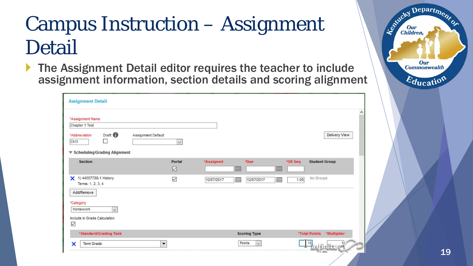### Campus Instruction – Assignment Detail

 The Assignment Detail editor requires the teacher to include assignment information, section details and scoring alignment

| *Assignment Name                                                            |              |            |                        |                                      |
|-----------------------------------------------------------------------------|--------------|------------|------------------------|--------------------------------------|
| Chapter 1 Test                                                              |              |            |                        |                                      |
| Draft <sup>1</sup><br>*Abbreviation<br>Assignment Default<br>$\Box$<br>Ch1t | $\checkmark$ |            |                        | Delivery View                        |
| ▼ Scheduling/Grading Alignment                                              |              |            |                        |                                      |
| <b>Section</b>                                                              | Portal<br>☑  | *Assigned  | *Due<br>E              | *GB Seq<br><b>Student Group</b><br>E |
| X 1) 44557788-1 History<br>Terms: 1, 2, 3, 4                                | ☑            | 12/07/2017 | T<br>12/07/2017        | No Groups<br>H<br>1.00               |
| Add/Remove<br>*Category<br>Homework<br>$\checkmark$                         |              |            |                        |                                      |
| Include in Grade Calculation<br>$\triangledown$                             |              |            |                        |                                      |
| *Standard/Grading Task                                                      |              |            | <b>Scoring Type</b>    | *Total Points<br>*Multiplier         |
|                                                                             |              |            | Points<br>$\checkmark$ |                                      |

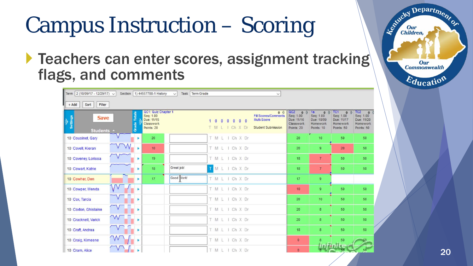# Campus Instruction – Scoring

**Teachers can enter scores, assignment tracking** flags, and comments

| Term 2 (10/09/17 - 12/29/17) V        | Section   1) 44557788-1 History<br>Task Term Grade<br>$\vee$                                     | $\checkmark$                                                                                                                                              |                                                                                                                                                                              |                                                                                                                                                                        |
|---------------------------------------|--------------------------------------------------------------------------------------------------|-----------------------------------------------------------------------------------------------------------------------------------------------------------|------------------------------------------------------------------------------------------------------------------------------------------------------------------------------|------------------------------------------------------------------------------------------------------------------------------------------------------------------------|
| $+ Add$<br>Sort<br>Filter             |                                                                                                  |                                                                                                                                                           |                                                                                                                                                                              |                                                                                                                                                                        |
| Settings<br><b>Save</b><br>Students + | QC1: Quiz Chapter 1<br><b>Grade Totals</b><br>Seq: 1.00<br>Due: 11/15<br>Classwork<br>Points: 20 | $\Leftrightarrow$<br>Fill Scores/Comments<br>Multi-Score<br>$\mathbf{0}$<br>$0\quad 0$<br>$\theta$<br>$\theta$<br>TMLICh XDr<br><b>Student Submission</b> | OC2<br>1a<br>$\Leftrightarrow$ $\aleph$<br>$\Rightarrow$ $\theta$<br>Seq: 1.00<br>Seq: 1.00<br>Due: 11/16<br>Due: 10/09<br>Classwork<br>Homework<br>Points: 20<br>Points: 10 | $\Rightarrow$ $\sqrt{102}$ $\Rightarrow$ $\sqrt{102}$<br>TC1<br>Seq: 1.00<br>Seq: 1.00<br>Due: 11/17<br>Due: 11/20<br>Homework<br>Homework<br>Points: 50<br>Points: 50 |
| 10 Cousinet, Gary                     | 20<br>×                                                                                          | T M L I Ch X Dr                                                                                                                                           | 10<br>20                                                                                                                                                                     | 50<br>50                                                                                                                                                               |
| 10 Covell, Kieran                     | ×<br>10                                                                                          | T M L 1 Ch X Dr                                                                                                                                           | $\overline{9}$<br>20                                                                                                                                                         | 20<br>50                                                                                                                                                               |
| 10 Coveney, Lorissa                   | 19<br>ь                                                                                          | T M L I Ch X Dr                                                                                                                                           | 7 <sup>°</sup><br>18                                                                                                                                                         | 50<br>50                                                                                                                                                               |
| 10 Cowart, Katrie                     | Great job!<br>18<br>٠                                                                            | TMLIChXDr                                                                                                                                                 | 7 <sup>2</sup><br>18                                                                                                                                                         | 50<br>50                                                                                                                                                               |
| 10 Cowher, Den                        | Good Vork!<br>17<br>×                                                                            | T M L I Ch X Dr                                                                                                                                           | 17 <sub>2</sub><br>$\overline{9}$                                                                                                                                            |                                                                                                                                                                        |
| 10 Cowper, Wenda                      |                                                                                                  | T M L I Ch X Dr                                                                                                                                           | $\overline{9}$<br>10                                                                                                                                                         | 50<br>50                                                                                                                                                               |
| 10 Cox, Tarcia                        |                                                                                                  | T M L I Ch X Dr                                                                                                                                           | 10<br>20                                                                                                                                                                     | 50<br>50                                                                                                                                                               |
| 10 Coxton, Ghislaine                  |                                                                                                  | T M L I Ch X Dr                                                                                                                                           | 8<br>20                                                                                                                                                                      | 50<br>50                                                                                                                                                               |
| W<br>10 Cracknell, Varick             |                                                                                                  | T M L I Ch X Dr                                                                                                                                           | 8<br>20                                                                                                                                                                      | 50 <sub>5</sub><br>50                                                                                                                                                  |
| 10 Craft, Andrea                      |                                                                                                  | T M L I Ch X Dr                                                                                                                                           | 8<br>18                                                                                                                                                                      | 50<br>50                                                                                                                                                               |
| 10 Craig, Kimeene                     |                                                                                                  | T M L I Ch X Dr                                                                                                                                           | $\bullet$<br>8                                                                                                                                                               | 50                                                                                                                                                                     |
| 10 Cram, Alice                        |                                                                                                  | T M L I Ch X Dr                                                                                                                                           | $\mathbf{0}$                                                                                                                                                                 |                                                                                                                                                                        |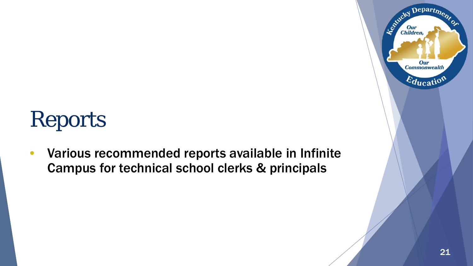# Reports

• Various recommended reports available in Infinite Campus for technical school clerks & principals

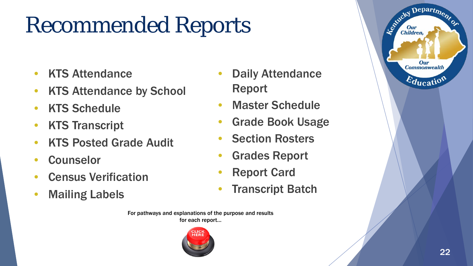# Recommended Reports

- KTS Attendance
- KTS Attendance by School
- KTS Schedule
- KTS Transcript
- KTS Posted Grade Audit
- Counselor
- Census Verification
- Mailing Labels
- **Daily Attendance** Report
- **Master Schedule**
- Grade Book Usage
- **Section Rosters**
- Grades Report
- **Report Card**
- **Transcript Batch**

For pathways and explanations of the purpose and results for each report…





 $\mathbf{D}$ epart $\eta_{\boldsymbol{\eta}_{\boldsymbol{\ell}}}$ 

Our **Commonwealth** 

 $E_{\text{ducatio}}$ 

Le Child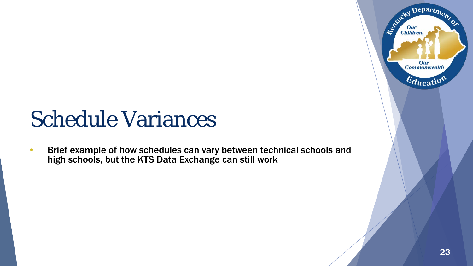## Schedule Variances

• Brief example of how schedules can vary between technical schools and high schools, but the KTS Data Exchange can still work

Department

Our **Commonwealth** 

 $E_{\text{ducatio}}$ 

Estucky I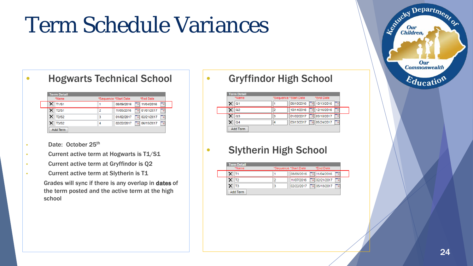# Term Schedule Variances

02/22/2017 4 06/15/2017

| <b>Hogwarts Technical School</b> |                       |                    |
|----------------------------------|-----------------------|--------------------|
| <b>Term Detail</b><br>*Name      | *Sequence *Start Date | *End Date          |
| $\times$ T1/S1                   | 08/09/2016            | 11/04/2016<br>Tal  |
| T2/S1                            | 11/05/2016<br>2       | 01/01/2017<br>Tal. |
| <b>T2/S2</b>                     | 01/02/2017<br>3       | 02/21/2017<br>o.   |

 $\overline{4}$ 

• Date: October 25<sup>th</sup>

 $X$  T3/S2

Add Term

- Current active term at Hogwarts is T1/S1
- Current active term at Gryffindor is Q2
- Current active term at Slytherin is T1 Grades will sync if there is any overlap in dates of the term posted and the active term at the high school

#### • Gryffindor High School

| <b>Term Detail</b> |   |                       |            |
|--------------------|---|-----------------------|------------|
| *Name              |   | *Sequence *Start Date | *End Date  |
| Q1                 |   | 08/10/2016            | 10/13/2016 |
| Q2                 |   | 10/14/2016            | 12/16/2016 |
| Q3                 | 3 | 01/02/2017            | 03/10/2017 |
| Q <sub>4</sub>     | 4 | 03/13/2017            | 05/24/2017 |
| Add Term           |   |                       |            |

#### • Slytherin High School

| <b>Term Detail</b><br>*Name | *Sequence *Start Date | *End Date                |     |
|-----------------------------|-----------------------|--------------------------|-----|
|                             | 08/09/2016            | Tal 11/04/2016           | To, |
| Т2                          | 11/07/2016            | 102/21/2017              | Þ   |
| T3                          | 02/22/2017            | $\frac{1}{2}$ 05/18/2017 | To, |

Departme.

Our **Commonwealth** 

Education

Established I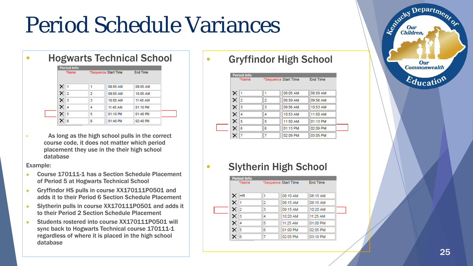# Period Schedule Variances

| <b>Hogwarts Technical School</b> |  |  |
|----------------------------------|--|--|
|----------------------------------|--|--|

| *Name      |   | *Sequence Start Time | <b>End Time</b> |
|------------|---|----------------------|-----------------|
| $\times$ 1 | 1 | 08:05 AM             | 09:05 AM        |
| $\times 2$ | 2 | 09:05 AM             | 10:05 AM        |
| $\times$ 3 | 3 | 10:05 AM             | 11:45 AM        |
| $\times$ 4 | 4 | 11:45 AM             | 01:10 PM        |
| $\times$ 5 | 5 | 01:10 PM             | $01:40$ PM      |
| 6          | 6 | 01:40 PM             | 02:40 PM        |

As long as the high school pulls in the correct course code, it does not matter which period placement they use in the their high school database

Example:

- Course 170111-1 has a Section Schedule Placement of Period 5 at Hogwarts Technical School
- Gryffindor HS pulls in course XX170111P0501 and adds it to their Period 6 Section Schedule Placement
- Slytherin pulls in course XX170111P0501 and adds it to their Period 2 Section Schedule Placement
- Students rostered into course XX170111P0501 will sync back to Hogwarts Technical course 170111-1 regardless of where it is placed in the high school database

#### • Gryffindor High School

| *Name |   | *Sequence Start Time |          | <b>End Time</b> |  |
|-------|---|----------------------|----------|-----------------|--|
| ×     |   |                      | 08:05 AM | 08:59 AM        |  |
| ×     | 2 | 2                    | 08:59 AM | 09:56 AM        |  |
|       | 3 | 3                    | 09:56 AM | 10:53 AM        |  |
| ×     | 4 | 4                    | 10:53 AM | 11:50 AM        |  |
|       | 5 | 5                    | 11:50 AM | 01:13 PM        |  |
|       | 6 | 6                    | 01:13 PM | 02:09 PM        |  |
|       | 7 | 7                    | 02:09 PM | 03:05 PM        |  |

#### • Slytherin High School

| *Name |    | *Sequence Start Time |          | End Time |  |
|-------|----|----------------------|----------|----------|--|
| ×     | HR | 1                    | 08:10 AM | 08:15 AM |  |
| ×     | 11 | 2                    | 08:15 AM | 09:15 AM |  |
| ×.    | 12 | 3                    | 09:15 AM | 10:20 AM |  |
| ×.    | 3  | 4                    | 10:20 AM | 11:25 AM |  |
| ×     | 14 | 5                    | 11:25 AM | 01:00 PM |  |
| ×     | 15 | 6                    | 01:00 PM | 02:05 PM |  |
|       | 6  | 7                    | 02:05 PM | 03:10 PM |  |

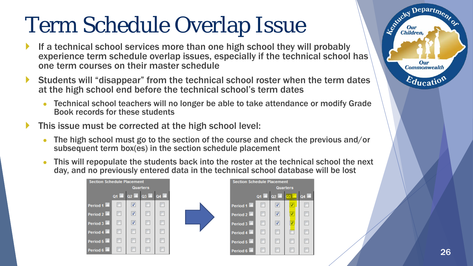# Term Schedule Overlap Issue

- If a technical school services more than one high school they will probably experience term schedule overlap issues, especially if the technical school has one term courses on their master schedule
- Students will "disappear" from the technical school roster when the term dates at the high school end before the technical school's term dates
	- Technical school teachers will no longer be able to take attendance or modify Grade Book records for these students
- This issue must be corrected at the high school level:
	- The high school must go to the section of the course and check the previous and/or subsequent term box(es) in the section schedule placement
	- This will repopulate the students back into the roster at the technical school the next day, and no previously entered data in the technical school database will be lost

 $Q4$ 

 $\Box$ 

 $\boxed{\Box}$ 

 $\boxed{\Box}$ 

 $\Box$ 

 $\Box$ 

 $\Box$ 



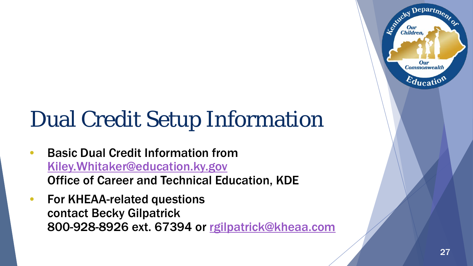# Dual Credit Setup Information

- Basic Dual Credit Information from [Kiley.Whitaker@education.ky.gov](mailto:Kiley.Whitaker@education.ky.gov) Office of Career and Technical Education, KDE
- For KHEAA-related questions contact Becky Gilpatrick 800-928-8926 ext. 67394 or [rgilpatrick@kheaa.com](mailto:rgilpatrick@kheaa.com)

 $\mathbf{D}$ epart $\mathbf{r}_0$ 

Our **Commonwealth** 

 $E_{\text{ducatio}}$ 

Leonicky

Children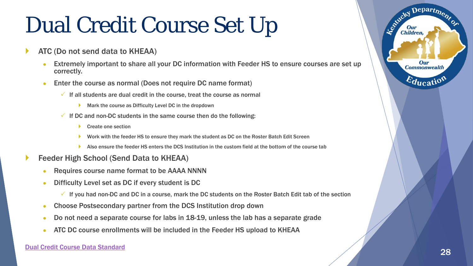# Dual Credit Course Set Up

- ATC (Do not send data to KHEAA)
	- Extremely important to share all your DC information with Feeder HS to ensure courses are set up correctly.
	- Enter the course as normal (Does not require DC name format)
		- $\checkmark$  If all students are dual credit in the course, treat the course as normal
			- Mark the course as Difficulty Level DC in the dropdown
		- $\checkmark$  If DC and non-DC students in the same course then do the following:
			- Create one section
			- Work with the feeder HS to ensure they mark the student as DC on the Roster Batch Edit Screen
			- Also ensure the feeder HS enters the DCS Institution in the custom field at the bottom of the course tab
- Feeder High School (Send Data to KHEAA)
	- Requires course name format to be AAAA NNNN
	- Difficulty Level set as DC if every student is DC
		- $\checkmark$  If you had non-DC and DC in a course, mark the DC students on the Roster Batch Edit tab of the section
	- Choose Postsecondary partner from the DCS Institution drop down
	- Do not need a separate course for labs in 18-19, unless the lab has a separate grade
	- ATC DC course enrollments will be included in the Feeder HS upload to KHEAA

 $\mathbf{D}$ epart<sub>m</sub>

Our **Commonwealth** 

 $E_{\text{ducatio}}$ 

Agencies I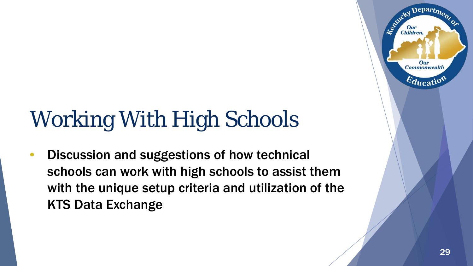# Working With High Schools

• Discussion and suggestions of how technical schools can work with high schools to assist them with the unique setup criteria and utilization of the KTS Data Exchange

Departme.

Our **Commonwealth** 

 $\varepsilon_{\text{ducatio}}$ 

Agencies I

Children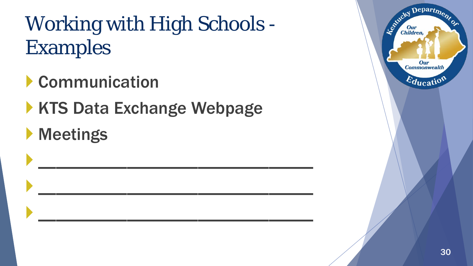## Working with High Schools - Examples

- Communication
- **KTS Data Exchange Webpage**
- **Meetings**



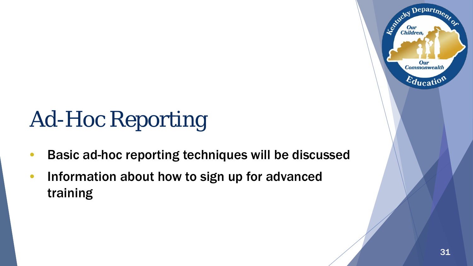# Ad-Hoc Reporting

- Basic ad-hoc reporting techniques will be discussed
- Information about how to sign up for advanced training

Departme.

Our **Commonwealth** 

 $\varepsilon_{\text{ducatio}}$ 

Agencies I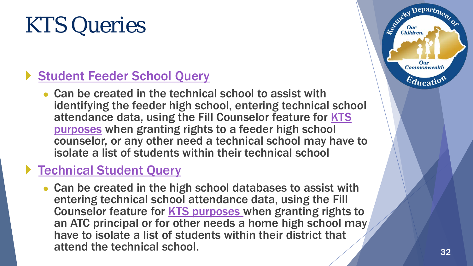## KTS Queries

#### [Student Feeder School Query](https://education.ky.gov/districts/tech/sis/Documents/Student_Feeder_School_Ad-Hoc_Query.pdf)

• Can be created in the technical school to assist with identifying the feeder high school, entering technical school [attendance data, using the Fill Counselor feature for KTS](https://education.ky.gov/districts/tech/sis/Documents/Setting_Up_Counselor_View_Student_Grade_Detail_ATC_Database.pdf)  purposes when granting rights to a feeder high school counselor, or any other need a technical school may have to isolate a list of students within their technical school

#### ▶ [Technical Student Query](https://education.ky.gov/districts/tech/sis/Documents/Technical_Student_Ad-Hoc_Query.pdf)

• Can be created in the high school databases to assist with entering technical school attendance data, using the Fill Counselor feature for [KTS purposes](https://education.ky.gov/districts/tech/sis/Documents/Setting_Up_Counselor_View_Student_Grade_Detail_ATC_Database.pdf) when granting rights to an ATC principal or for other needs a home high school may have to isolate a list of students within their district that attend the technical school. 32

Department

Our **Commonwealth** 

 $E_{\text{ducati}}$ 

Le Child

Children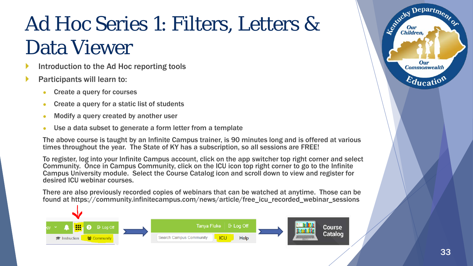## Ad Hoc Series 1: Filters, Letters & Data Viewer

- Introduction to the Ad Hoc reporting tools
- Participants will learn to:
	- Create a query for courses
	- Create a query for a static list of students
	- Modify a query created by another user
	- Use a data subset to generate a form letter from a template

The above course is taught by an Infinite Campus trainer, is 90 minutes long and is offered at various times throughout the year. The State of KY has a subscription, so all sessions are FREE!

To register, log into your Infinite Campus account, click on the app switcher top right corner and select Community. Once in Campus Community, click on the ICU icon top right corner to go to the Infinite Campus University module. Select the Course Catalog icon and scroll down to view and register for desired ICU webinar courses.

There are also previously recorded copies of webinars that can be watched at anytime. Those can be found at https://community.infinitecampus.com/news/article/free\_icu\_recorded\_webinar\_sessions





Department

Our **Commonwealth** 

 $E_{\text{ducati}}$ 

Le Child

**Children.**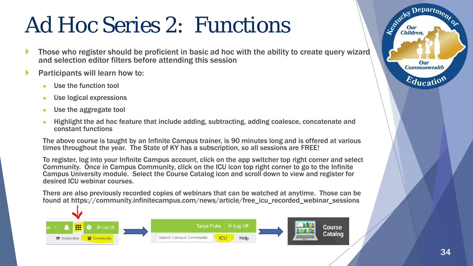## Ad Hoc Series 2: Functions

- Those who register should be proficient in basic ad hoc with the ability to create query wizard and selection editor filters before attending this session
- Participants will learn how to:
	- Use the function tool
	- Use logical expressions
	- Use the aggregate tool
	- Highlight the ad hoc feature that include adding, subtracting, adding coalesce, concatenate and constant functions

The above course is taught by an Infinite Campus trainer, is 90 minutes long and is offered at various times throughout the year. The State of KY has a subscription, so all sessions are FREE!

To register, log into your Infinite Campus account, click on the app switcher top right corner and select Community. Once in Campus Community, click on the ICU icon top right corner to go to the Infinite Campus University module. Select the Course Catalog icon and scroll down to view and register for desired ICU webinar courses.

There are also previously recorded copies of webinars that can be watched at anytime. Those can be found at https://community.infinitecampus.com/news/article/free\_icu\_recorded\_webinar\_sessions



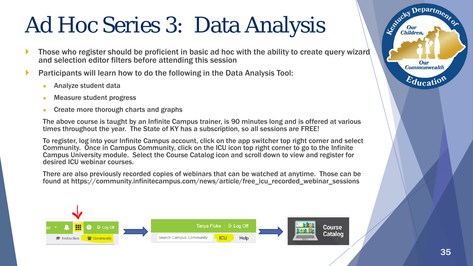# Ad Hoc Series 3: Data Analysis

- Those who register should be proficient in basic ad hoc with the ability to create query wizard and selection editor filters before attending this session
- Participants will learn how to do the following in the Data Analysis Tool:
	- Analyze student data
	- Measure student progress
	- Create more thorough charts and graphs

The above course is taught by an Infinite Campus trainer, is 90 minutes long and is offered at various times throughout the year. The State of KY has a subscription, so all sessions are FREE!

To register, log into your Infinite Campus account, click on the app switcher top right corner and select Community. Once in Campus Community, click on the ICU icon top right corner to go to the Infinite Campus University module. Select the Course Catalog icon and scroll down to view and register for desired ICU webinar courses.

There are also previously recorded copies of webinars that can be watched at anytime. Those can be found at https://community.infinitecampus.com/news/article/free\_icu\_recorded\_webinar\_sessions



Department

Our **Commonwealth** 

 $E_{\text{ducati}}$ 

Agencies I

**Children.**